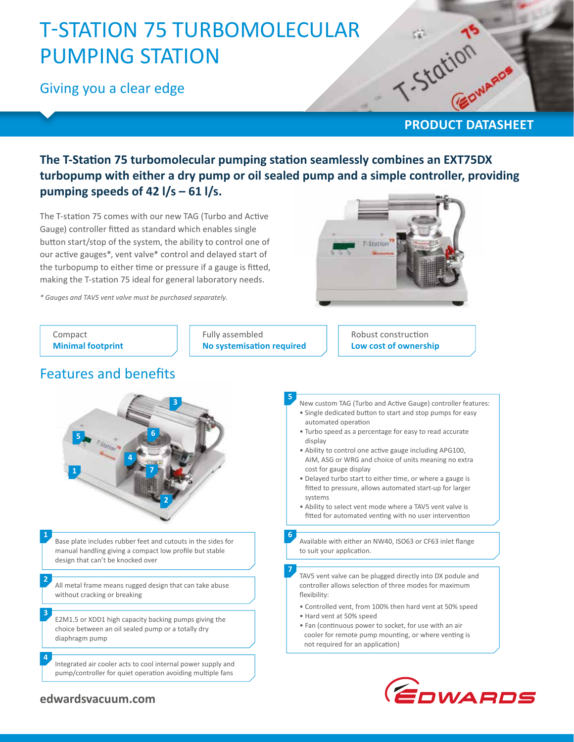# T-STATION 75 TURBOMOLECULAR PUMPING STATION

Giving you a clear edge

# PRODUCT DATASHEET

### **The T-Station 75 turbomolecular pumping station seamlessly combines an EXT75DX turbopump with either a dry pump or oil sealed pump and a simple controller, providing pumping speeds of 42 l/s – 61 l/s.**

The T-station 75 comes with our new TAG (Turbo and Active Gauge) controller fitted as standard which enables single button start/stop of the system, the ability to control one of our active gauges\*, vent valve\* control and delayed start of the turbopump to either time or pressure if a gauge is fitted, making the T-station 75 ideal for general laboratory needs.

*\* Gauges and TAV5 vent valve must be purchased separately.*





### **edwardsvacuum.com**